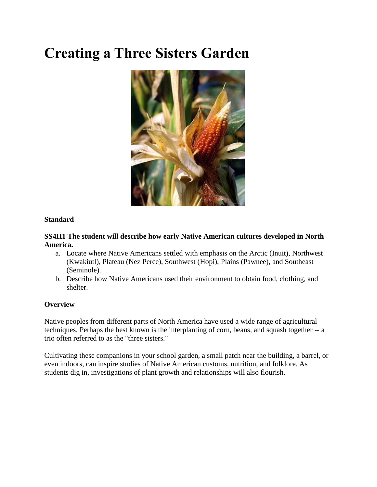# **Creating a Three Sisters Garden**



#### **Standard**

#### **SS4H1 The student will describe how early Native American cultures developed in North America.**

- a. Locate where Native Americans settled with emphasis on the Arctic (Inuit), Northwest (Kwakiutl), Plateau (Nez Perce), Southwest (Hopi), Plains (Pawnee), and Southeast (Seminole).
- b. Describe how Native Americans used their environment to obtain food, clothing, and shelter.

#### **Overview**

Native peoples from different parts of North America have used a wide range of agricultural techniques. Perhaps the best known is the interplanting of corn, beans, and squash together -- a trio often referred to as the "three sisters."

Cultivating these companions in your school garden, a small patch near the building, a barrel, or even indoors, can inspire studies of Native American customs, nutrition, and folklore. As students dig in, investigations of plant growth and relationships will also flourish.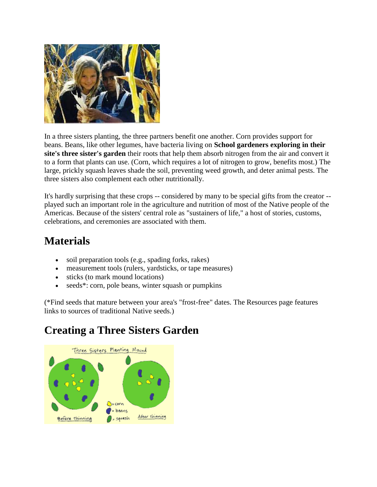

In a three sisters planting, the three partners benefit one another. Corn provides support for beans. Beans, like other legumes, have bacteria living on **School gardeners exploring in their site's three sister's garden** their roots that help them absorb nitrogen from the air and convert it to a form that plants can use. (Corn, which requires a lot of nitrogen to grow, benefits most.) The large, prickly squash leaves shade the soil, preventing weed growth, and deter animal pests. The three sisters also complement each other nutritionally.

It's hardly surprising that these crops -- considered by many to be special gifts from the creator - played such an important role in the agriculture and nutrition of most of the Native people of the Americas. Because of the sisters' central role as "sustainers of life," a host of stories, customs, celebrations, and ceremonies are associated with them.

### **Materials**

- soil preparation tools (e.g., spading forks, rakes)
- measurement tools (rulers, yardsticks, or tape measures)
- sticks (to mark mound locations)
- seeds\*: corn, pole beans, winter squash or pumpkins

(\*Find seeds that mature between your area's "frost-free" dates. The Resources page features links to sources of traditional Native seeds.)

## **Creating a Three Sisters Garden**

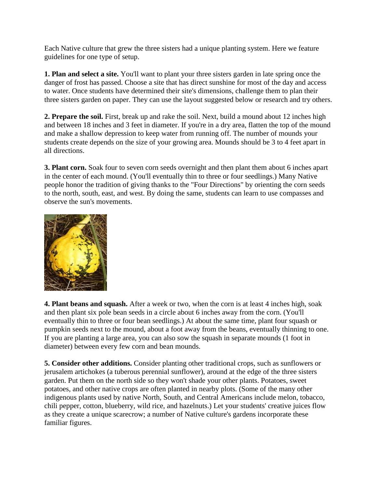Each Native culture that grew the three sisters had a unique planting system. Here we feature guidelines for one type of setup.

**1. Plan and select a site.** You'll want to plant your three sisters garden in late spring once the danger of frost has passed. Choose a site that has direct sunshine for most of the day and access to water. Once students have determined their site's dimensions, challenge them to plan their three sisters garden on paper. They can use the layout suggested below or research and try others.

**2. Prepare the soil.** First, break up and rake the soil. Next, build a mound about 12 inches high and between 18 inches and 3 feet in diameter. If you're in a dry area, flatten the top of the mound and make a shallow depression to keep water from running off. The number of mounds your students create depends on the size of your growing area. Mounds should be 3 to 4 feet apart in all directions.

**3. Plant corn.** Soak four to seven corn seeds overnight and then plant them about 6 inches apart in the center of each mound. (You'll eventually thin to three or four seedlings.) Many Native people honor the tradition of giving thanks to the "Four Directions" by orienting the corn seeds to the north, south, east, and west. By doing the same, students can learn to use compasses and observe the sun's movements.



**4. Plant beans and squash.** After a week or two, when the corn is at least 4 inches high, soak and then plant six pole bean seeds in a circle about 6 inches away from the corn. (You'll eventually thin to three or four bean seedlings.) At about the same time, plant four squash or pumpkin seeds next to the mound, about a foot away from the beans, eventually thinning to one. If you are planting a large area, you can also sow the squash in separate mounds (1 foot in diameter) between every few corn and bean mounds.

**5. Consider other additions.** Consider planting other traditional crops, such as sunflowers or jerusalem artichokes (a tuberous perennial sunflower), around at the edge of the three sisters garden. Put them on the north side so they won't shade your other plants. Potatoes, sweet potatoes, and other native crops are often planted in nearby plots. (Some of the many other indigenous plants used by native North, South, and Central Americans include melon, tobacco, chili pepper, cotton, blueberry, wild rice, and hazelnuts.) Let your students' creative juices flow as they create a unique scarecrow; a number of Native culture's gardens incorporate these familiar figures.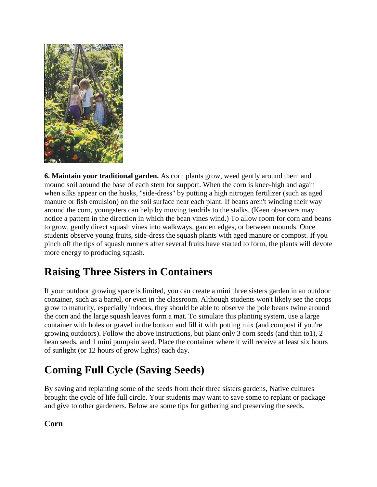

**6. Maintain your traditional garden.** As corn plants grow, weed gently around them and mound soil around the base of each stem for support. When the corn is knee-high and again when silks appear on the husks, "side-dress" by putting a high nitrogen fertilizer (such as aged manure or fish emulsion) on the soil surface near each plant. If beans aren't winding their way around the corn, youngsters can help by moving tendrils to the stalks. (Keen observers may notice a pattern in the direction in which the bean vines wind.) To allow room for corn and beans to grow, gently direct squash vines into walkways, garden edges, or between mounds. Once students observe young fruits, side-dress the squash plants with aged manure or compost. If you pinch off the tips of squash runners after several fruits have started to form, the plants will devote more energy to producing squash.

# **Raising Three Sisters in Containers**

If your outdoor growing space is limited, you can create a mini three sisters garden in an outdoor container, such as a barrel, or even in the classroom. Although students won't likely see the crops grow to maturity, especially indoors, they should be able to observe the pole beans twine around the corn and the large squash leaves form a mat. To simulate this planting system, use a large container with holes or gravel in the bottom and fill it with potting mix (and compost if you're growing outdoors). Follow the above instructions, but plant only 3 corn seeds (and thin to1), 2 bean seeds, and 1 mini pumpkin seed. Place the container where it will receive at least six hours of sunlight (or 12 hours of grow lights) each day.

# **Coming Full Cycle (Saving Seeds)**

By saving and replanting some of the seeds from their three sisters gardens, Native cultures brought the cycle of life full circle. Your students may want to save some to replant or package and give to other gardeners. Below are some tips for gathering and preserving the seeds.

**Corn**